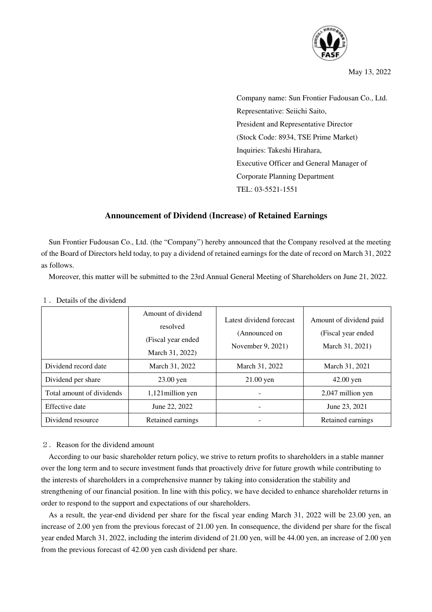

May 13, 2022

Company name: Sun Frontier Fudousan Co., Ltd. Representative: Seiichi Saito, President and Representative Director (Stock Code: 8934, TSE Prime Market) Inquiries: Takeshi Hirahara, Executive Officer and General Manager of Corporate Planning Department TEL: 03-5521-1551

## **Announcement of Dividend (Increase) of Retained Earnings**

Sun Frontier Fudousan Co., Ltd. (the "Company") hereby announced that the Company resolved at the meeting of the Board of Directors held today, to pay a dividend of retained earnings for the date of record on March 31, 2022 as follows.

Moreover, this matter will be submitted to the 23rd Annual General Meeting of Shareholders on June 21, 2022.

|                           | Amount of dividend<br>resolved<br>(Fiscal year ended<br>March 31, 2022) | Latest dividend forecast<br>(Announced on<br>November 9, 2021) | Amount of dividend paid<br>(Fiscal year ended)<br>March 31, 2021) |  |
|---------------------------|-------------------------------------------------------------------------|----------------------------------------------------------------|-------------------------------------------------------------------|--|
| Dividend record date      | March 31, 2022                                                          | March 31, 2022                                                 | March 31, 2021                                                    |  |
| Dividend per share        | $23.00$ yen                                                             | $21.00$ yen                                                    | $42.00$ yen                                                       |  |
| Total amount of dividends | 1,121 million yen                                                       |                                                                | 2,047 million yen                                                 |  |
| Effective date            | June 22, 2022                                                           |                                                                | June 23, 2021                                                     |  |
| Dividend resource         | Retained earnings                                                       |                                                                | Retained earnings                                                 |  |

## 1.Details of the dividend

## 2.Reason for the dividend amount

According to our basic shareholder return policy, we strive to return profits to shareholders in a stable manner over the long term and to secure investment funds that proactively drive for future growth while contributing to the interests of shareholders in a comprehensive manner by taking into consideration the stability and strengthening of our financial position. In line with this policy, we have decided to enhance shareholder returns in order to respond to the support and expectations of our shareholders.

As a result, the year-end dividend per share for the fiscal year ending March 31, 2022 will be 23.00 yen, an increase of 2.00 yen from the previous forecast of 21.00 yen. In consequence, the dividend per share for the fiscal year ended March 31, 2022, including the interim dividend of 21.00 yen, will be 44.00 yen, an increase of 2.00 yen from the previous forecast of 42.00 yen cash dividend per share.